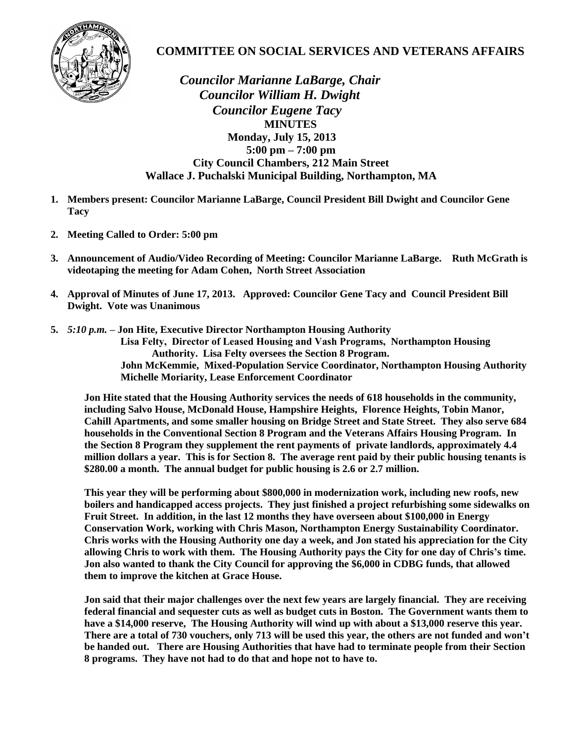

## **COMMITTEE ON SOCIAL SERVICES AND VETERANS AFFAIRS**

 *Councilor Marianne LaBarge, Chair Councilor William H. Dwight Councilor Eugene Tacy*  **MINUTES Monday, July 15, 2013 5:00 pm – 7:00 pm City Council Chambers, 212 Main Street Wallace J. Puchalski Municipal Building, Northampton, MA**

- **1. Members present: Councilor Marianne LaBarge, Council President Bill Dwight and Councilor Gene Tacy**
- **2. Meeting Called to Order: 5:00 pm**
- **3. Announcement of Audio/Video Recording of Meeting: Councilor Marianne LaBarge. Ruth McGrath is videotaping the meeting for Adam Cohen, North Street Association**
- **4. Approval of Minutes of June 17, 2013. Approved: Councilor Gene Tacy and Council President Bill Dwight. Vote was Unanimous**
- **5.** *5:10 p.m.* **– Jon Hite, Executive Director Northampton Housing Authority Lisa Felty, Director of Leased Housing and Vash Programs, Northampton Housing Authority. Lisa Felty oversees the Section 8 Program. John McKemmie, Mixed-Population Service Coordinator, Northampton Housing Authority Michelle Moriarity, Lease Enforcement Coordinator**

**Jon Hite stated that the Housing Authority services the needs of 618 households in the community, including Salvo House, McDonald House, Hampshire Heights, Florence Heights, Tobin Manor, Cahill Apartments, and some smaller housing on Bridge Street and State Street. They also serve 684 households in the Conventional Section 8 Program and the Veterans Affairs Housing Program. In the Section 8 Program they supplement the rent payments of private landlords, approximately 4.4 million dollars a year. This is for Section 8. The average rent paid by their public housing tenants is \$280.00 a month. The annual budget for public housing is 2.6 or 2.7 million.** 

**This year they will be performing about \$800,000 in modernization work, including new roofs, new boilers and handicapped access projects. They just finished a project refurbishing some sidewalks on Fruit Street. In addition, in the last 12 months they have overseen about \$100,000 in Energy Conservation Work, working with Chris Mason, Northampton Energy Sustainability Coordinator. Chris works with the Housing Authority one day a week, and Jon stated his appreciation for the City allowing Chris to work with them. The Housing Authority pays the City for one day of Chris's time. Jon also wanted to thank the City Council for approving the \$6,000 in CDBG funds, that allowed them to improve the kitchen at Grace House.** 

**Jon said that their major challenges over the next few years are largely financial. They are receiving federal financial and sequester cuts as well as budget cuts in Boston. The Government wants them to have a \$14,000 reserve, The Housing Authority will wind up with about a \$13,000 reserve this year. There are a total of 730 vouchers, only 713 will be used this year, the others are not funded and won't be handed out. There are Housing Authorities that have had to terminate people from their Section 8 programs. They have not had to do that and hope not to have to.**